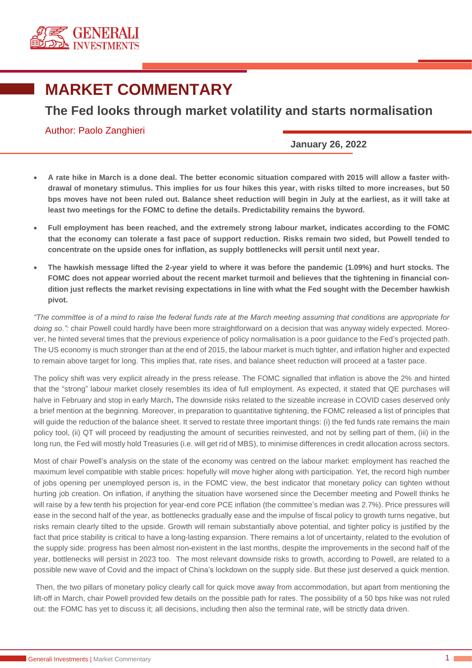

## **MARKET COMMENTARY**

## **The Fed looks through market volatility and starts normalisation**

## Author: Paolo Zanghieri

**January 26, 2022**

- **A rate hike in March is a done deal. The better economic situation compared with 2015 will allow a faster withdrawal of monetary stimulus. This implies for us four hikes this year, with risks tilted to more increases, but 50 bps moves have not been ruled out. Balance sheet reduction will begin in July at the earliest, as it will take at least two meetings for the FOMC to define the details. Predictability remains the byword.**
- **Full employment has been reached, and the extremely strong labour market, indicates according to the FOMC that the economy can tolerate a fast pace of support reduction. Risks remain two sided, but Powell tended to concentrate on the upside ones for inflation, as supply bottlenecks will persit until next year.**
- **The hawkish message lifted the 2-year yield to where it was before the pandemic (1.09%) and hurt stocks. The FOMC does not appear worried about the recent market turmoil and believes that the tightening in financial condition just reflects the market revising expectations in line with what the Fed sought with the December hawkish pivot.**

*"The committee is of a mind to raise the federal funds rate at the March meeting assuming that conditions are appropriate for* doing so.": chair Powell could hardly have been more straightforward on a decision that was anyway widely expected. Moreover, he hinted several times that the previous experience of policy normalisation is a poor guidance to the Fed's projected path. The US economy is much stronger than at the end of 2015, the labour market is much tighter, and inflation higher and expected to remain above target for long. This implies that, rate rises, and balance sheet reduction will proceed at a faster pace.

The policy shift was very explicit already in the press release. The FOMC signalled that inflation is above the 2% and hinted that the "strong" labour market closely resembles its idea of full employment. As expected, it stated that QE purchases will halve in February and stop in early March**.** The downside risks related to the sizeable increase in COVID cases deserved only a brief mention at the beginning. Moreover, in preparation to quantitative tightening, the FOMC released a list of principles that will guide the reduction of the balance sheet. It served to restate three important things: (i) the fed funds rate remains the main policy tool, (ii) QT will proceed by readjusting the amount of securities reinvested, and not by selling part of them, (iii) in the long run, the Fed will mostly hold Treasuries (i.e. will get rid of MBS), to minimise differences in credit allocation across sectors.

Most of chair Powell's analysis on the state of the economy was centred on the labour market: employment has reached the maximum level compatible with stable prices: hopefully will move higher along with participation. Yet, the record high number of jobs opening per unemployed person is, in the FOMC view, the best indicator that monetary policy can tighten without hurting job creation. On inflation, if anything the situation have worsened since the December meeting and Powell thinks he will raise by a few tenth his projection for year-end core PCE inflation (the committee's median was 2.7%). Price pressures will ease in the second half of the year, as bottlenecks gradually ease and the impulse of fiscal policy to growth turns negative, but risks remain clearly tilted to the upside. Growth will remain substantially above potential, and tighter policy is justified by the fact that price stability is critical to have a long-lasting expansion. There remains a lot of uncertainty, related to the evolution of the supply side: progress has been almost non-existent in the last months, despite the improvements in the second half of the year, bottlenecks will persist in 2023 too. The most relevant downside risks to growth, according to Powell, are related to a possible new wave of Covid and the impact of China's lockdown on the supply side. But these just deserved a quick mention.

Then, the two pillars of monetary policy clearly call for quick move away from accommodation, but apart from mentioning the lift-off in March, chair Powell provided few details on the possible path for rates. The possibility of a 50 bps hike was not ruled out: the FOMC has yet to discuss it; all decisions, including then also the terminal rate, will be strictly data driven.